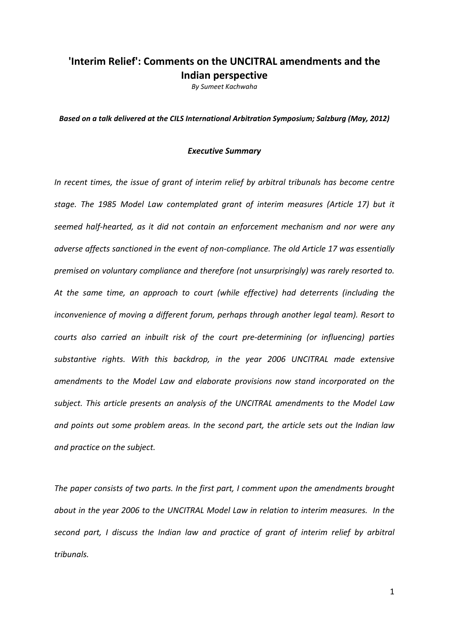# **'Interim Relief': Comments on the UNCITRAL amendments and the Indian perspective**

*By Sumeet Kachwaha*

*Based on a talk delivered at the CILS International Arbitration Symposium; Salzburg (May, 2012)*

#### *Executive Summary*

*In recent times, the issue of grant of interim relief by arbitral tribunals has become centre stage. The 1985 Model Law contemplated grant of interim measures (Article 17) but it seemed half‐hearted, as it did not contain an enforcement mechanism and nor were any adverse affects sanctioned in the event of non‐compliance. The old Article 17 was essentially premised on voluntary compliance and therefore (not unsurprisingly) was rarely resorted to. At the same time, an approach to court (while effective) had deterrents (including the inconvenience of moving a different forum, perhaps through another legal team). Resort to courts also carried an inbuilt risk of the court pre‐determining (or influencing) parties substantive rights. With this backdrop, in the year 2006 UNCITRAL made extensive amendments to the Model Law and elaborate provisions now stand incorporated on the subject. This article presents an analysis of the UNCITRAL amendments to the Model Law and points out some problem areas. In the second part, the article sets out the Indian law and practice on the subject.*

*The paper consists of two parts. In the first part, I comment upon the amendments brought about in the year 2006 to the UNCITRAL Model Law in relation to interim measures. In the second part, I discuss the Indian law and practice of grant of interim relief by arbitral tribunals.*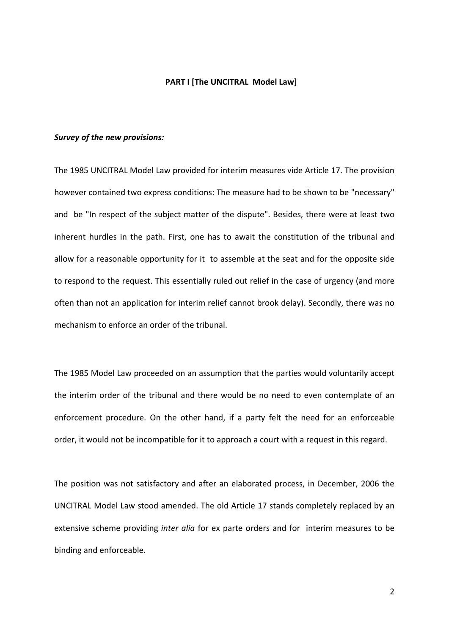#### **PART I [The UNCITRAL Model Law]**

#### *Survey of the new provisions:*

The 1985 UNCITRAL Model Law provided for interim measures vide Article 17. The provision however contained two express conditions: The measure had to be shown to be "necessary" and be "In respect of the subject matter of the dispute". Besides, there were at least two inherent hurdles in the path. First, one has to await the constitution of the tribunal and allow for a reasonable opportunity for it to assemble at the seat and for the opposite side to respond to the request. This essentially ruled out relief in the case of urgency (and more often than not an application for interim relief cannot brook delay). Secondly, there was no mechanism to enforce an order of the tribunal.

The 1985 Model Law proceeded on an assumption that the parties would voluntarily accept the interim order of the tribunal and there would be no need to even contemplate of an enforcement procedure. On the other hand, if a party felt the need for an enforceable order, it would not be incompatible for it to approach a court with a request in this regard.

The position was not satisfactory and after an elaborated process, in December, 2006 the UNCITRAL Model Law stood amended. The old Article 17 stands completely replaced by an extensive scheme providing *inter alia* for ex parte orders and for interim measures to be binding and enforceable.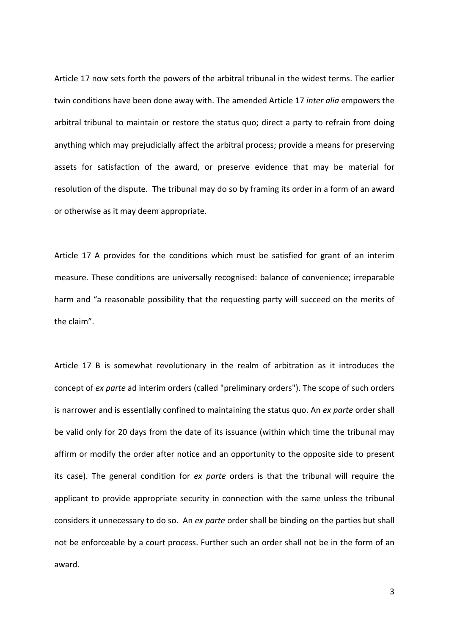Article 17 now sets forth the powers of the arbitral tribunal in the widest terms. The earlier twin conditions have been done away with. The amended Article 17 *inter alia* empowers the arbitral tribunal to maintain or restore the status quo; direct a party to refrain from doing anything which may prejudicially affect the arbitral process; provide a means for preserving assets for satisfaction of the award, or preserve evidence that may be material for resolution of the dispute. The tribunal may do so by framing its order in a form of an award or otherwise as it may deem appropriate.

Article 17 A provides for the conditions which must be satisfied for grant of an interim measure. These conditions are universally recognised: balance of convenience; irreparable harm and "a reasonable possibility that the requesting party will succeed on the merits of the claim".

Article 17 B is somewhat revolutionary in the realm of arbitration as it introduces the concept of *ex parte* ad interim orders (called "preliminary orders"). The scope of such orders is narrower and is essentially confined to maintaining the status quo. An *ex parte* order shall be valid only for 20 days from the date of its issuance (within which time the tribunal may affirm or modify the order after notice and an opportunity to the opposite side to present its case). The general condition for *ex parte* orders is that the tribunal will require the applicant to provide appropriate security in connection with the same unless the tribunal considers it unnecessary to do so. An *ex parte* order shall be binding on the parties but shall not be enforceable by a court process. Further such an order shall not be in the form of an award.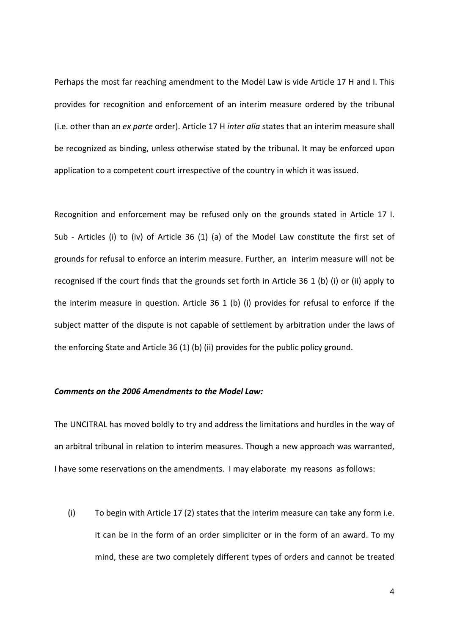Perhaps the most far reaching amendment to the Model Law is vide Article 17 H and I. This provides for recognition and enforcement of an interim measure ordered by the tribunal (i.e. other than an *ex parte* order). Article 17 H *inter alia* states that an interim measure shall be recognized as binding, unless otherwise stated by the tribunal. It may be enforced upon application to a competent court irrespective of the country in which it was issued.

Recognition and enforcement may be refused only on the grounds stated in Article 17 I. Sub - Articles (i) to (iv) of Article 36 (1) (a) of the Model Law constitute the first set of grounds for refusal to enforce an interim measure. Further, an interim measure will not be recognised if the court finds that the grounds set forth in Article 36 1 (b) (i) or (ii) apply to the interim measure in question. Article 36 1 (b) (i) provides for refusal to enforce if the subject matter of the dispute is not capable of settlement by arbitration under the laws of the enforcing State and Article 36 (1) (b) (ii) provides for the public policy ground.

## *Comments on the 2006 Amendments to the Model Law:*

The UNCITRAL has moved boldly to try and address the limitations and hurdles in the way of an arbitral tribunal in relation to interim measures. Though a new approach was warranted, I have some reservations on the amendments. I may elaborate my reasons as follows:

(i) To begin with Article 17 (2) states that the interim measure can take any form i.e. it can be in the form of an order simpliciter or in the form of an award. To my mind, these are two completely different types of orders and cannot be treated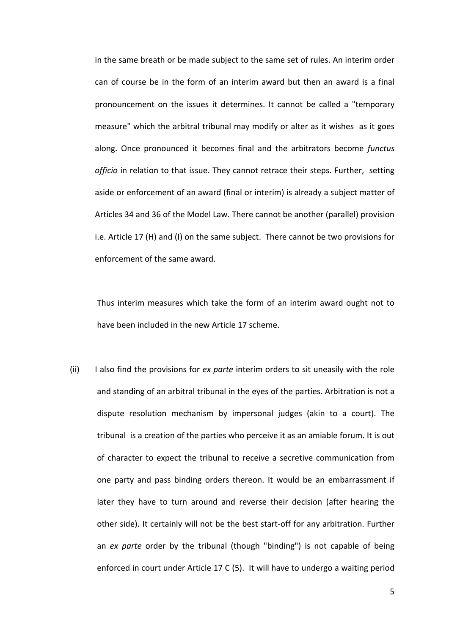in the same breath or be made subject to the same set of rules. An interim order can of course be in the form of an interim award but then an award is a final pronouncement on the issues it determines. It cannot be called a "temporary measure" which the arbitral tribunal may modify or alter as it wishes as it goes along. Once pronounced it becomes final and the arbitrators become *functus officio* in relation to that issue. They cannot retrace their steps. Further, setting aside or enforcement of an award (final or interim) is already a subject matter of Articles 34 and 36 of the Model Law. There cannot be another (parallel) provision i.e. Article 17 (H) and (I) on the same subject. There cannot be two provisions for enforcement of the same award.

Thus interim measures which take the form of an interim award ought not to have been included in the new Article 17 scheme.

(ii) I also find the provisions for *ex parte* interim orders to sit uneasily with the role and standing of an arbitral tribunal in the eyes of the parties. Arbitration is not a dispute resolution mechanism by impersonal judges (akin to a court). The tribunal is a creation of the parties who perceive it as an amiable forum. It is out of character to expect the tribunal to receive a secretive communication from one party and pass binding orders thereon. It would be an embarrassment if later they have to turn around and reverse their decision (after hearing the other side). It certainly will not be the best start-off for any arbitration. Further an *ex parte* order by the tribunal (though "binding") is not capable of being enforced in court under Article 17 C (5). It will have to undergo a waiting period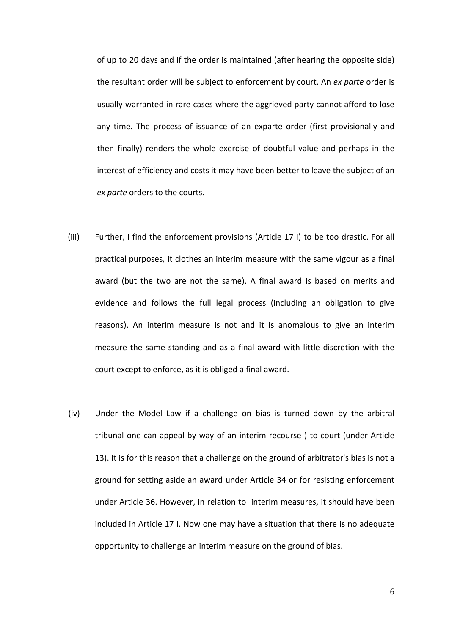of up to 20 days and if the order is maintained (after hearing the opposite side) the resultant order will be subject to enforcement by court. An *ex parte* order is usually warranted in rare cases where the aggrieved party cannot afford to lose any time. The process of issuance of an exparte order (first provisionally and then finally) renders the whole exercise of doubtful value and perhaps in the interest of efficiency and costs it may have been better to leave the subject of an *ex parte* orders to the courts.

- (iii) Further, I find the enforcement provisions (Article 17 I) to be too drastic. For all practical purposes, it clothes an interim measure with the same vigour as a final award (but the two are not the same). A final award is based on merits and evidence and follows the full legal process (including an obligation to give reasons). An interim measure is not and it is anomalous to give an interim measure the same standing and as a final award with little discretion with the court except to enforce, as it is obliged a final award.
- (iv) Under the Model Law if a challenge on bias is turned down by the arbitral tribunal one can appeal by way of an interim recourse ) to court (under Article 13). It is for this reason that a challenge on the ground of arbitrator's bias is not a ground for setting aside an award under Article 34 or for resisting enforcement under Article 36. However, in relation to interim measures, it should have been included in Article 17 I. Now one may have a situation that there is no adequate opportunity to challenge an interim measure on the ground of bias.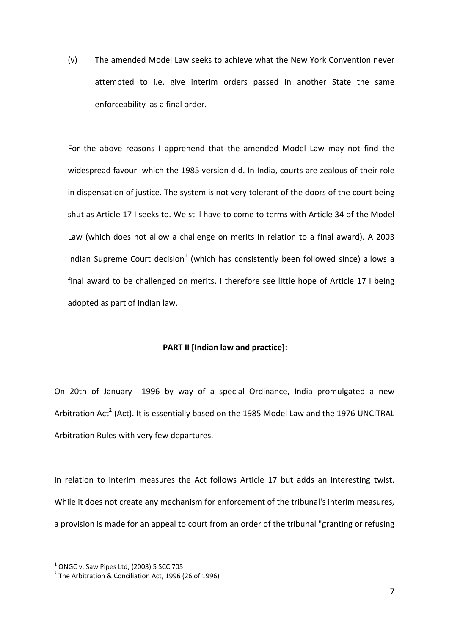(v) The amended Model Law seeks to achieve what the New York Convention never attempted to i.e. give interim orders passed in another State the same enforceability as a final order.

For the above reasons I apprehend that the amended Model Law may not find the widespread favour which the 1985 version did. In India, courts are zealous of their role in dispensation of justice. The system is not very tolerant of the doors of the court being shut as Article 17 I seeks to. We still have to come to terms with Article 34 of the Model Law (which does not allow a challenge on merits in relation to a final award). A 2003 Indian Supreme Court decision<sup>1</sup> (which has consistently been followed since) allows a final award to be challenged on merits. I therefore see little hope of Article 17 I being adopted as part of Indian law.

## **PART II [Indian law and practice]:**

On 20th of January 1996 by way of a special Ordinance, India promulgated a new Arbitration Act<sup>2</sup> (Act). It is essentially based on the 1985 Model Law and the 1976 UNCITRAL Arbitration Rules with very few departures.

In relation to interim measures the Act follows Article 17 but adds an interesting twist. While it does not create any mechanism for enforcement of the tribunal's interim measures, a provision is made for an appeal to court from an order of the tribunal "granting or refusing

<sup>&</sup>lt;sup>1</sup> ONGC v. Saw Pipes Ltd; (2003) 5 SCC 705<br><sup>2</sup> The Arbitration & Conciliation Act, 1996 (26 of 1996)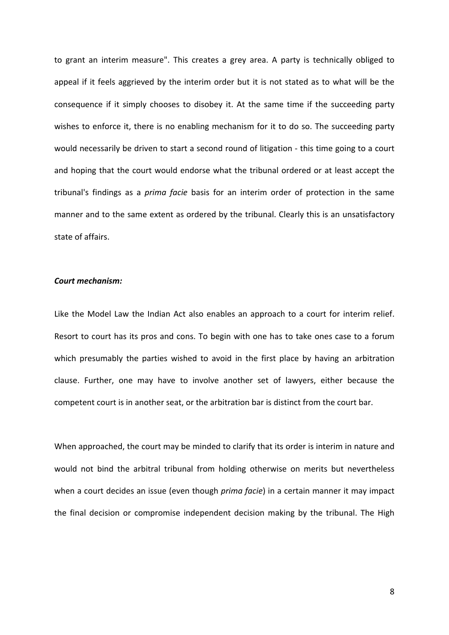to grant an interim measure". This creates a grey area. A party is technically obliged to appeal if it feels aggrieved by the interim order but it is not stated as to what will be the consequence if it simply chooses to disobey it. At the same time if the succeeding party wishes to enforce it, there is no enabling mechanism for it to do so. The succeeding party would necessarily be driven to start a second round of litigation - this time going to a court and hoping that the court would endorse what the tribunal ordered or at least accept the tribunal's findings as a *prima facie* basis for an interim order of protection in the same manner and to the same extent as ordered by the tribunal. Clearly this is an unsatisfactory state of affairs.

#### *Court mechanism:*

Like the Model Law the Indian Act also enables an approach to a court for interim relief. Resort to court has its pros and cons. To begin with one has to take ones case to a forum which presumably the parties wished to avoid in the first place by having an arbitration clause. Further, one may have to involve another set of lawyers, either because the competent court is in another seat, or the arbitration bar is distinct from the court bar.

When approached, the court may be minded to clarify that its order is interim in nature and would not bind the arbitral tribunal from holding otherwise on merits but nevertheless when a court decides an issue (even though *prima facie*) in a certain manner it may impact the final decision or compromise independent decision making by the tribunal. The High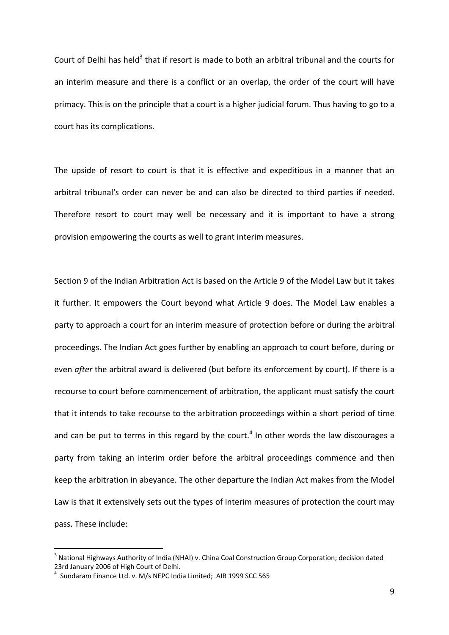Court of Delhi has held<sup>3</sup> that if resort is made to both an arbitral tribunal and the courts for an interim measure and there is a conflict or an overlap, the order of the court will have primacy. This is on the principle that a court is a higher judicial forum. Thus having to go to a court has its complications.

The upside of resort to court is that it is effective and expeditious in a manner that an arbitral tribunal's order can never be and can also be directed to third parties if needed. Therefore resort to court may well be necessary and it is important to have a strong provision empowering the courts as well to grant interim measures.

Section 9 of the Indian Arbitration Act is based on the Article 9 of the Model Law but it takes it further. It empowers the Court beyond what Article 9 does. The Model Law enables a party to approach a court for an interim measure of protection before or during the arbitral proceedings. The Indian Act goes further by enabling an approach to court before, during or even *after* the arbitral award is delivered (but before its enforcement by court). If there is a recourse to court before commencement of arbitration, the applicant must satisfy the court that it intends to take recourse to the arbitration proceedings within a short period of time and can be put to terms in this regard by the court.<sup>4</sup> In other words the law discourages a party from taking an interim order before the arbitral proceedings commence and then keep the arbitration in abeyance. The other departure the Indian Act makes from the Model Law is that it extensively sets out the types of interim measures of protection the court may pass. These include:

<sup>&</sup>lt;sup>3</sup> National Highways Authority of India (NHAI) v. China Coal Construction Group Corporation; decision dated 23rd January 2006 of High Court of Delhi.

Sundaram Finance Ltd. v. M/s NEPC India Limited; AIR 1999 SCC 565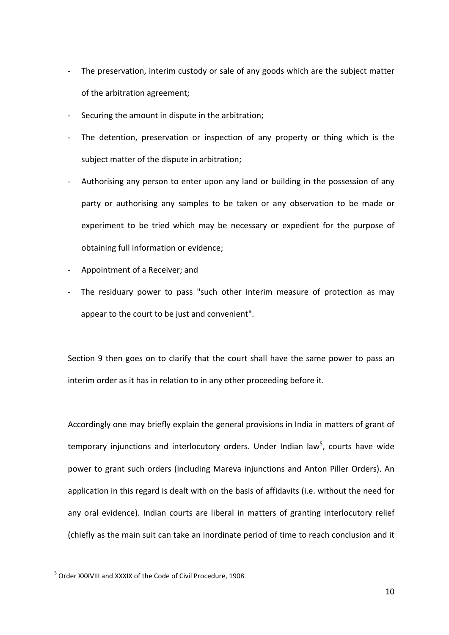- ‐ The preservation, interim custody or sale of any goods which are the subject matter of the arbitration agreement;
- ‐ Securing the amount in dispute in the arbitration;
- ‐ The detention, preservation or inspection of any property or thing which is the subject matter of the dispute in arbitration;
- ‐ Authorising any person to enter upon any land or building in the possession of any party or authorising any samples to be taken or any observation to be made or experiment to be tried which may be necessary or expedient for the purpose of obtaining full information or evidence;
- ‐ Appointment of a Receiver; and
- ‐ The residuary power to pass "such other interim measure of protection as may appear to the court to be just and convenient".

Section 9 then goes on to clarify that the court shall have the same power to pass an interim order as it has in relation to in any other proceeding before it.

Accordingly one may briefly explain the general provisions in India in matters of grant of temporary injunctions and interlocutory orders. Under Indian law<sup>5</sup>, courts have wide power to grant such orders (including Mareva injunctions and Anton Piller Orders). An application in this regard is dealt with on the basis of affidavits (i.e. without the need for any oral evidence). Indian courts are liberal in matters of granting interlocutory relief (chiefly as the main suit can take an inordinate period of time to reach conclusion and it

<sup>5</sup> Order XXXVIII and XXXIX of the Code of Civil Procedure, 1908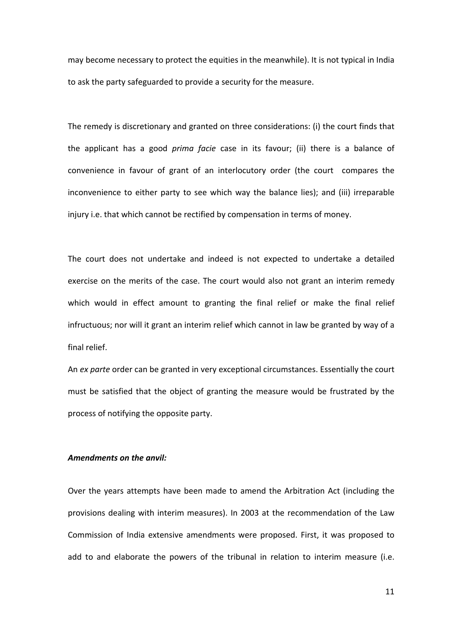may become necessary to protect the equities in the meanwhile). It is not typical in India to ask the party safeguarded to provide a security for the measure.

The remedy is discretionary and granted on three considerations: (i) the court finds that the applicant has a good *prima facie* case in its favour; (ii) there is a balance of convenience in favour of grant of an interlocutory order (the court compares the inconvenience to either party to see which way the balance lies); and (iii) irreparable injury i.e. that which cannot be rectified by compensation in terms of money.

The court does not undertake and indeed is not expected to undertake a detailed exercise on the merits of the case. The court would also not grant an interim remedy which would in effect amount to granting the final relief or make the final relief infructuous; nor will it grant an interim relief which cannot in law be granted by way of a final relief.

An *ex parte* order can be granted in very exceptional circumstances. Essentially the court must be satisfied that the object of granting the measure would be frustrated by the process of notifying the opposite party.

## *Amendments on the anvil:*

Over the years attempts have been made to amend the Arbitration Act (including the provisions dealing with interim measures). In 2003 at the recommendation of the Law Commission of India extensive amendments were proposed. First, it was proposed to add to and elaborate the powers of the tribunal in relation to interim measure (i.e.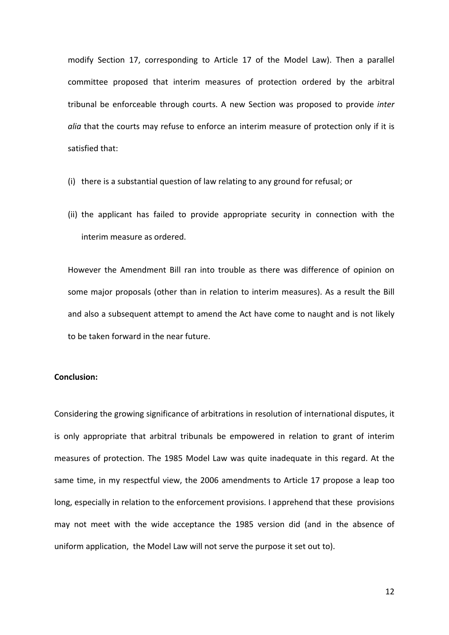modify Section 17, corresponding to Article 17 of the Model Law). Then a parallel committee proposed that interim measures of protection ordered by the arbitral tribunal be enforceable through courts. A new Section was proposed to provide *inter alia* that the courts may refuse to enforce an interim measure of protection only if it is satisfied that:

- (i) there is a substantial question of law relating to any ground for refusal; or
- (ii) the applicant has failed to provide appropriate security in connection with the interim measure as ordered.

However the Amendment Bill ran into trouble as there was difference of opinion on some major proposals (other than in relation to interim measures). As a result the Bill and also a subsequent attempt to amend the Act have come to naught and is not likely to be taken forward in the near future.

## **Conclusion:**

Considering the growing significance of arbitrations in resolution of international disputes, it is only appropriate that arbitral tribunals be empowered in relation to grant of interim measures of protection. The 1985 Model Law was quite inadequate in this regard. At the same time, in my respectful view, the 2006 amendments to Article 17 propose a leap too long, especially in relation to the enforcement provisions. I apprehend that these provisions may not meet with the wide acceptance the 1985 version did (and in the absence of uniform application, the Model Law will not serve the purpose it set out to).